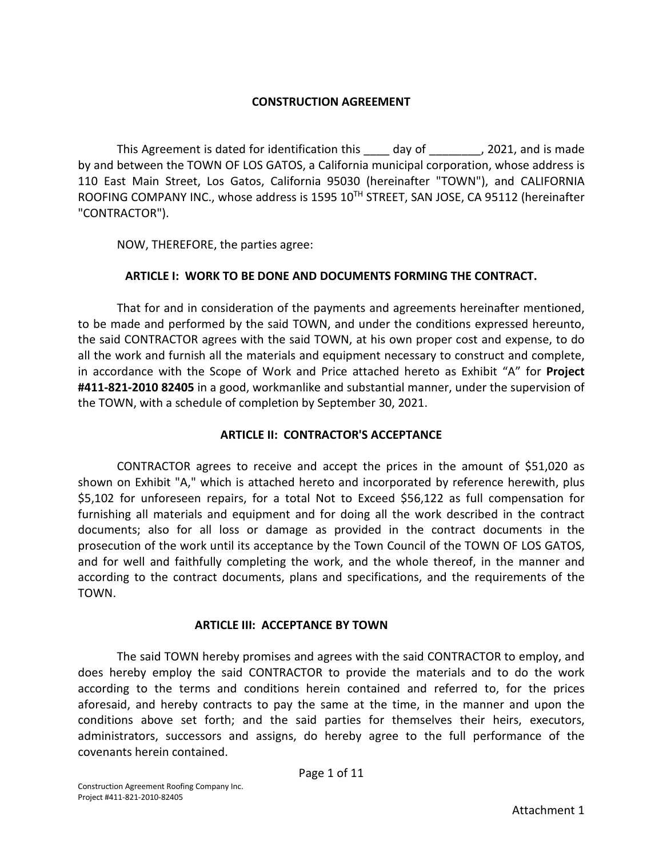### **CONSTRUCTION AGREEMENT**

This Agreement is dated for identification this \_\_\_\_ day of \_\_\_\_\_\_\_\_, 2021, and is made by and between the TOWN OF LOS GATOS, a California municipal corporation, whose address is 110 East Main Street, Los Gatos, California 95030 (hereinafter "TOWN"), and CALIFORNIA ROOFING COMPANY INC., whose address is 1595 10TH STREET, SAN JOSE, CA 95112 (hereinafter "CONTRACTOR").

NOW, THEREFORE, the parties agree:

### **ARTICLE I: WORK TO BE DONE AND DOCUMENTS FORMING THE CONTRACT.**

That for and in consideration of the payments and agreements hereinafter mentioned, to be made and performed by the said TOWN, and under the conditions expressed hereunto, the said CONTRACTOR agrees with the said TOWN, at his own proper cost and expense, to do all the work and furnish all the materials and equipment necessary to construct and complete, in accordance with the Scope of Work and Price attached hereto as Exhibit "A" for **Project #411-821-2010 82405** in a good, workmanlike and substantial manner, under the supervision of the TOWN, with a schedule of completion by September 30, 2021.

#### **ARTICLE II: CONTRACTOR'S ACCEPTANCE**

CONTRACTOR agrees to receive and accept the prices in the amount of \$51,020 as shown on Exhibit "A," which is attached hereto and incorporated by reference herewith, plus \$5,102 for unforeseen repairs, for a total Not to Exceed \$56,122 as full compensation for furnishing all materials and equipment and for doing all the work described in the contract documents; also for all loss or damage as provided in the contract documents in the prosecution of the work until its acceptance by the Town Council of the TOWN OF LOS GATOS, and for well and faithfully completing the work, and the whole thereof, in the manner and according to the contract documents, plans and specifications, and the requirements of the TOWN.

#### **ARTICLE III: ACCEPTANCE BY TOWN**

The said TOWN hereby promises and agrees with the said CONTRACTOR to employ, and does hereby employ the said CONTRACTOR to provide the materials and to do the work according to the terms and conditions herein contained and referred to, for the prices aforesaid, and hereby contracts to pay the same at the time, in the manner and upon the conditions above set forth; and the said parties for themselves their heirs, executors, administrators, successors and assigns, do hereby agree to the full performance of the covenants herein contained.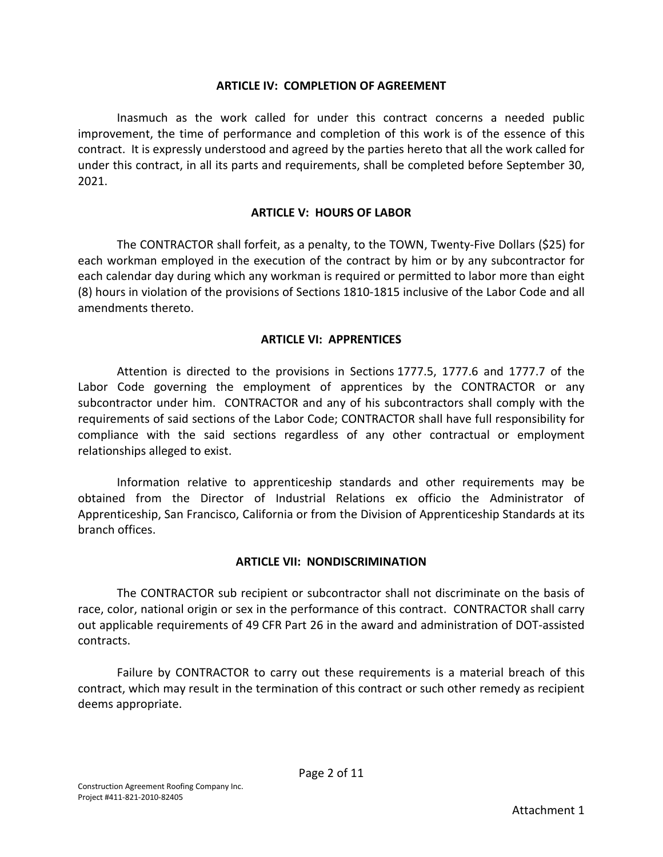#### **ARTICLE IV: COMPLETION OF AGREEMENT**

Inasmuch as the work called for under this contract concerns a needed public improvement, the time of performance and completion of this work is of the essence of this contract. It is expressly understood and agreed by the parties hereto that all the work called for under this contract, in all its parts and requirements, shall be completed before September 30, 2021.

### **ARTICLE V: HOURS OF LABOR**

The CONTRACTOR shall forfeit, as a penalty, to the TOWN, Twenty-Five Dollars (\$25) for each workman employed in the execution of the contract by him or by any subcontractor for each calendar day during which any workman is required or permitted to labor more than eight (8) hours in violation of the provisions of Sections 1810-1815 inclusive of the Labor Code and all amendments thereto.

### **ARTICLE VI: APPRENTICES**

Attention is directed to the provisions in Sections 1777.5, 1777.6 and 1777.7 of the Labor Code governing the employment of apprentices by the CONTRACTOR or any subcontractor under him. CONTRACTOR and any of his subcontractors shall comply with the requirements of said sections of the Labor Code; CONTRACTOR shall have full responsibility for compliance with the said sections regardless of any other contractual or employment relationships alleged to exist.

Information relative to apprenticeship standards and other requirements may be obtained from the Director of Industrial Relations ex officio the Administrator of Apprenticeship, San Francisco, California or from the Division of Apprenticeship Standards at its branch offices.

### **ARTICLE VII: NONDISCRIMINATION**

The CONTRACTOR sub recipient or subcontractor shall not discriminate on the basis of race, color, national origin or sex in the performance of this contract. CONTRACTOR shall carry out applicable requirements of 49 CFR Part 26 in the award and administration of DOT-assisted contracts.

Failure by CONTRACTOR to carry out these requirements is a material breach of this contract, which may result in the termination of this contract or such other remedy as recipient deems appropriate.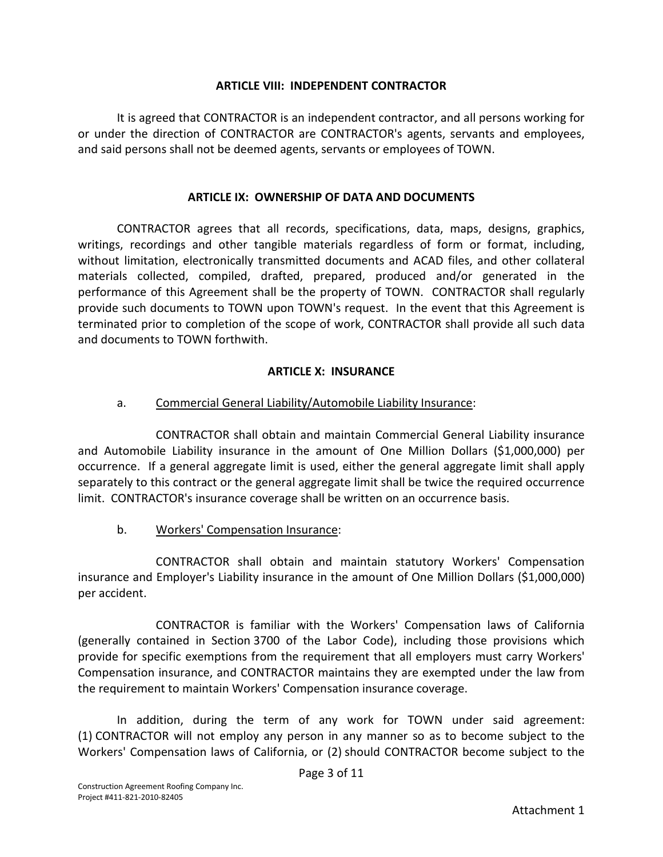### **ARTICLE VIII: INDEPENDENT CONTRACTOR**

It is agreed that CONTRACTOR is an independent contractor, and all persons working for or under the direction of CONTRACTOR are CONTRACTOR's agents, servants and employees, and said persons shall not be deemed agents, servants or employees of TOWN.

#### **ARTICLE IX: OWNERSHIP OF DATA AND DOCUMENTS**

CONTRACTOR agrees that all records, specifications, data, maps, designs, graphics, writings, recordings and other tangible materials regardless of form or format, including, without limitation, electronically transmitted documents and ACAD files, and other collateral materials collected, compiled, drafted, prepared, produced and/or generated in the performance of this Agreement shall be the property of TOWN. CONTRACTOR shall regularly provide such documents to TOWN upon TOWN's request. In the event that this Agreement is terminated prior to completion of the scope of work, CONTRACTOR shall provide all such data and documents to TOWN forthwith.

### **ARTICLE X: INSURANCE**

### a. Commercial General Liability/Automobile Liability Insurance:

CONTRACTOR shall obtain and maintain Commercial General Liability insurance and Automobile Liability insurance in the amount of One Million Dollars (\$1,000,000) per occurrence. If a general aggregate limit is used, either the general aggregate limit shall apply separately to this contract or the general aggregate limit shall be twice the required occurrence limit. CONTRACTOR's insurance coverage shall be written on an occurrence basis.

### b. Workers' Compensation Insurance:

CONTRACTOR shall obtain and maintain statutory Workers' Compensation insurance and Employer's Liability insurance in the amount of One Million Dollars (\$1,000,000) per accident.

CONTRACTOR is familiar with the Workers' Compensation laws of California (generally contained in Section 3700 of the Labor Code), including those provisions which provide for specific exemptions from the requirement that all employers must carry Workers' Compensation insurance, and CONTRACTOR maintains they are exempted under the law from the requirement to maintain Workers' Compensation insurance coverage.

In addition, during the term of any work for TOWN under said agreement: (1) CONTRACTOR will not employ any person in any manner so as to become subject to the Workers' Compensation laws of California, or (2) should CONTRACTOR become subject to the

Page 3 of 11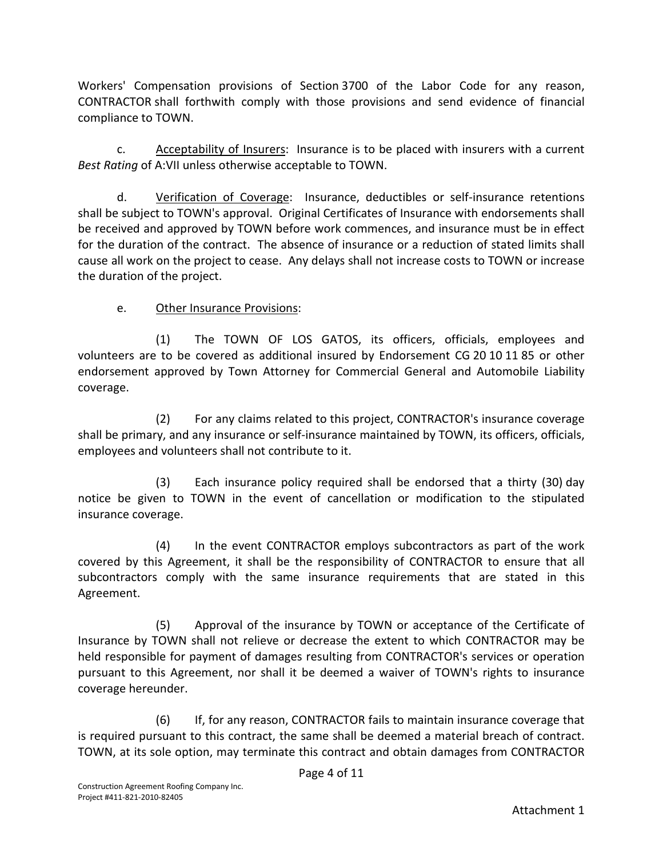Workers' Compensation provisions of Section 3700 of the Labor Code for any reason, CONTRACTOR shall forthwith comply with those provisions and send evidence of financial compliance to TOWN.

c. Acceptability of Insurers: Insurance is to be placed with insurers with a current *Best Rating* of A:VII unless otherwise acceptable to TOWN.

d. Verification of Coverage: Insurance, deductibles or self-insurance retentions shall be subject to TOWN's approval. Original Certificates of Insurance with endorsements shall be received and approved by TOWN before work commences, and insurance must be in effect for the duration of the contract. The absence of insurance or a reduction of stated limits shall cause all work on the project to cease. Any delays shall not increase costs to TOWN or increase the duration of the project.

# e. Other Insurance Provisions:

(1) The TOWN OF LOS GATOS, its officers, officials, employees and volunteers are to be covered as additional insured by Endorsement CG 20 10 11 85 or other endorsement approved by Town Attorney for Commercial General and Automobile Liability coverage.

(2) For any claims related to this project, CONTRACTOR's insurance coverage shall be primary, and any insurance or self-insurance maintained by TOWN, its officers, officials, employees and volunteers shall not contribute to it.

(3) Each insurance policy required shall be endorsed that a thirty (30) day notice be given to TOWN in the event of cancellation or modification to the stipulated insurance coverage.

(4) In the event CONTRACTOR employs subcontractors as part of the work covered by this Agreement, it shall be the responsibility of CONTRACTOR to ensure that all subcontractors comply with the same insurance requirements that are stated in this Agreement.

(5) Approval of the insurance by TOWN or acceptance of the Certificate of Insurance by TOWN shall not relieve or decrease the extent to which CONTRACTOR may be held responsible for payment of damages resulting from CONTRACTOR's services or operation pursuant to this Agreement, nor shall it be deemed a waiver of TOWN's rights to insurance coverage hereunder.

(6) If, for any reason, CONTRACTOR fails to maintain insurance coverage that is required pursuant to this contract, the same shall be deemed a material breach of contract. TOWN, at its sole option, may terminate this contract and obtain damages from CONTRACTOR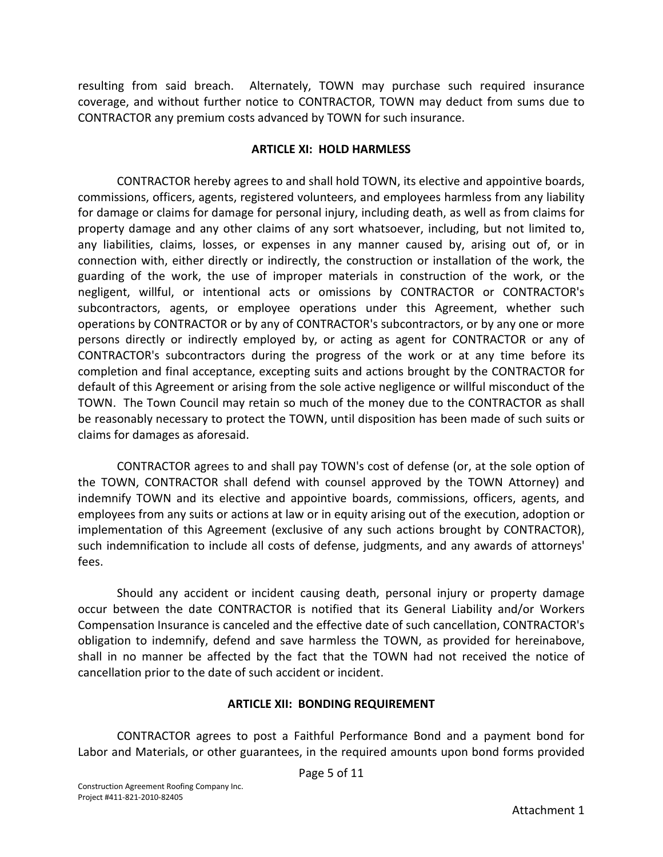resulting from said breach. Alternately, TOWN may purchase such required insurance coverage, and without further notice to CONTRACTOR, TOWN may deduct from sums due to CONTRACTOR any premium costs advanced by TOWN for such insurance.

### **ARTICLE XI: HOLD HARMLESS**

CONTRACTOR hereby agrees to and shall hold TOWN, its elective and appointive boards, commissions, officers, agents, registered volunteers, and employees harmless from any liability for damage or claims for damage for personal injury, including death, as well as from claims for property damage and any other claims of any sort whatsoever, including, but not limited to, any liabilities, claims, losses, or expenses in any manner caused by, arising out of, or in connection with, either directly or indirectly, the construction or installation of the work, the guarding of the work, the use of improper materials in construction of the work, or the negligent, willful, or intentional acts or omissions by CONTRACTOR or CONTRACTOR's subcontractors, agents, or employee operations under this Agreement, whether such operations by CONTRACTOR or by any of CONTRACTOR's subcontractors, or by any one or more persons directly or indirectly employed by, or acting as agent for CONTRACTOR or any of CONTRACTOR's subcontractors during the progress of the work or at any time before its completion and final acceptance, excepting suits and actions brought by the CONTRACTOR for default of this Agreement or arising from the sole active negligence or willful misconduct of the TOWN. The Town Council may retain so much of the money due to the CONTRACTOR as shall be reasonably necessary to protect the TOWN, until disposition has been made of such suits or claims for damages as aforesaid.

CONTRACTOR agrees to and shall pay TOWN's cost of defense (or, at the sole option of the TOWN, CONTRACTOR shall defend with counsel approved by the TOWN Attorney) and indemnify TOWN and its elective and appointive boards, commissions, officers, agents, and employees from any suits or actions at law or in equity arising out of the execution, adoption or implementation of this Agreement (exclusive of any such actions brought by CONTRACTOR), such indemnification to include all costs of defense, judgments, and any awards of attorneys' fees.

Should any accident or incident causing death, personal injury or property damage occur between the date CONTRACTOR is notified that its General Liability and/or Workers Compensation Insurance is canceled and the effective date of such cancellation, CONTRACTOR's obligation to indemnify, defend and save harmless the TOWN, as provided for hereinabove, shall in no manner be affected by the fact that the TOWN had not received the notice of cancellation prior to the date of such accident or incident.

### **ARTICLE XII: BONDING REQUIREMENT**

CONTRACTOR agrees to post a Faithful Performance Bond and a payment bond for Labor and Materials, or other guarantees, in the required amounts upon bond forms provided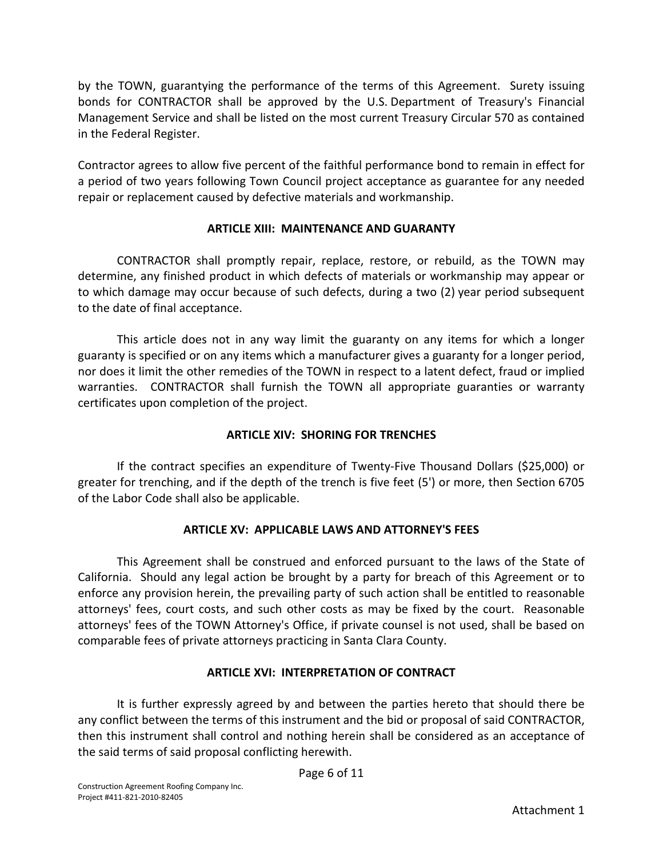by the TOWN, guarantying the performance of the terms of this Agreement. Surety issuing bonds for CONTRACTOR shall be approved by the U.S. Department of Treasury's Financial Management Service and shall be listed on the most current Treasury Circular 570 as contained in the Federal Register.

Contractor agrees to allow five percent of the faithful performance bond to remain in effect for a period of two years following Town Council project acceptance as guarantee for any needed repair or replacement caused by defective materials and workmanship.

### **ARTICLE XIII: MAINTENANCE AND GUARANTY**

CONTRACTOR shall promptly repair, replace, restore, or rebuild, as the TOWN may determine, any finished product in which defects of materials or workmanship may appear or to which damage may occur because of such defects, during a two (2) year period subsequent to the date of final acceptance.

This article does not in any way limit the guaranty on any items for which a longer guaranty is specified or on any items which a manufacturer gives a guaranty for a longer period, nor does it limit the other remedies of the TOWN in respect to a latent defect, fraud or implied warranties. CONTRACTOR shall furnish the TOWN all appropriate guaranties or warranty certificates upon completion of the project.

# **ARTICLE XIV: SHORING FOR TRENCHES**

If the contract specifies an expenditure of Twenty-Five Thousand Dollars (\$25,000) or greater for trenching, and if the depth of the trench is five feet (5') or more, then Section 6705 of the Labor Code shall also be applicable.

### **ARTICLE XV: APPLICABLE LAWS AND ATTORNEY'S FEES**

This Agreement shall be construed and enforced pursuant to the laws of the State of California. Should any legal action be brought by a party for breach of this Agreement or to enforce any provision herein, the prevailing party of such action shall be entitled to reasonable attorneys' fees, court costs, and such other costs as may be fixed by the court. Reasonable attorneys' fees of the TOWN Attorney's Office, if private counsel is not used, shall be based on comparable fees of private attorneys practicing in Santa Clara County.

### **ARTICLE XVI: INTERPRETATION OF CONTRACT**

It is further expressly agreed by and between the parties hereto that should there be any conflict between the terms of this instrument and the bid or proposal of said CONTRACTOR, then this instrument shall control and nothing herein shall be considered as an acceptance of the said terms of said proposal conflicting herewith.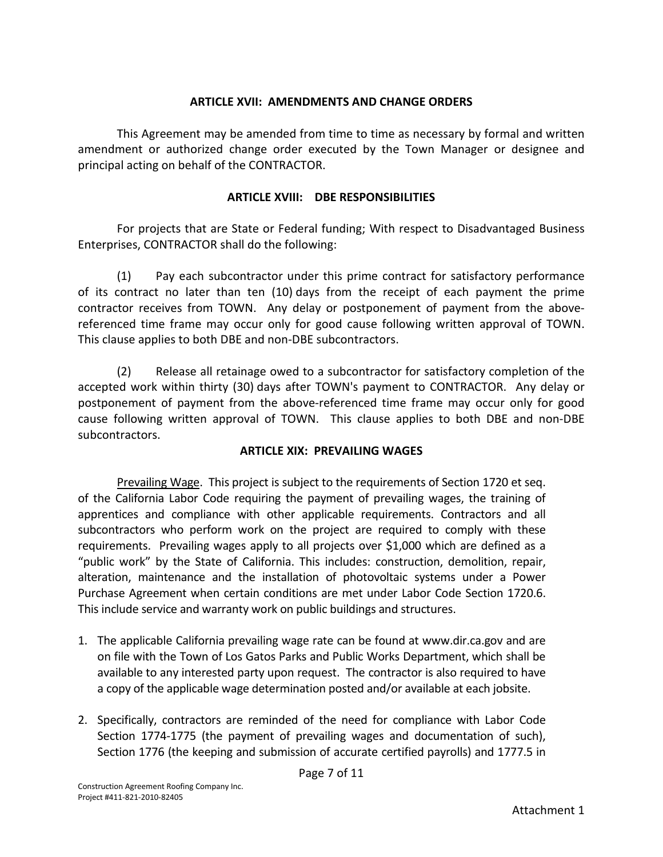#### **ARTICLE XVII: AMENDMENTS AND CHANGE ORDERS**

This Agreement may be amended from time to time as necessary by formal and written amendment or authorized change order executed by the Town Manager or designee and principal acting on behalf of the CONTRACTOR.

### **ARTICLE XVIII: DBE RESPONSIBILITIES**

For projects that are State or Federal funding; With respect to Disadvantaged Business Enterprises, CONTRACTOR shall do the following:

(1) Pay each subcontractor under this prime contract for satisfactory performance of its contract no later than ten (10) days from the receipt of each payment the prime contractor receives from TOWN. Any delay or postponement of payment from the abovereferenced time frame may occur only for good cause following written approval of TOWN. This clause applies to both DBE and non-DBE subcontractors.

(2) Release all retainage owed to a subcontractor for satisfactory completion of the accepted work within thirty (30) days after TOWN's payment to CONTRACTOR. Any delay or postponement of payment from the above-referenced time frame may occur only for good cause following written approval of TOWN. This clause applies to both DBE and non-DBE subcontractors.

### **ARTICLE XIX: PREVAILING WAGES**

Prevailing Wage. This project is subject to the requirements of Section 1720 et seq. of the California Labor Code requiring the payment of prevailing wages, the training of apprentices and compliance with other applicable requirements. Contractors and all subcontractors who perform work on the project are required to comply with these requirements. Prevailing wages apply to all projects over \$1,000 which are defined as a "public work" by the State of California. This includes: construction, demolition, repair, alteration, maintenance and the installation of photovoltaic systems under a Power Purchase Agreement when certain conditions are met under Labor Code Section 1720.6. This include service and warranty work on public buildings and structures.

- 1. The applicable California prevailing wage rate can be found at [www.dir.ca.gov](http://www.dir.ca.gov/) and are on file with the Town of Los Gatos Parks and Public Works Department, which shall be available to any interested party upon request. The contractor is also required to have a copy of the applicable wage determination posted and/or available at each jobsite.
- 2. Specifically, contractors are reminded of the need for compliance with Labor Code Section 1774-1775 (the payment of prevailing wages and documentation of such), Section 1776 (the keeping and submission of accurate certified payrolls) and 1777.5 in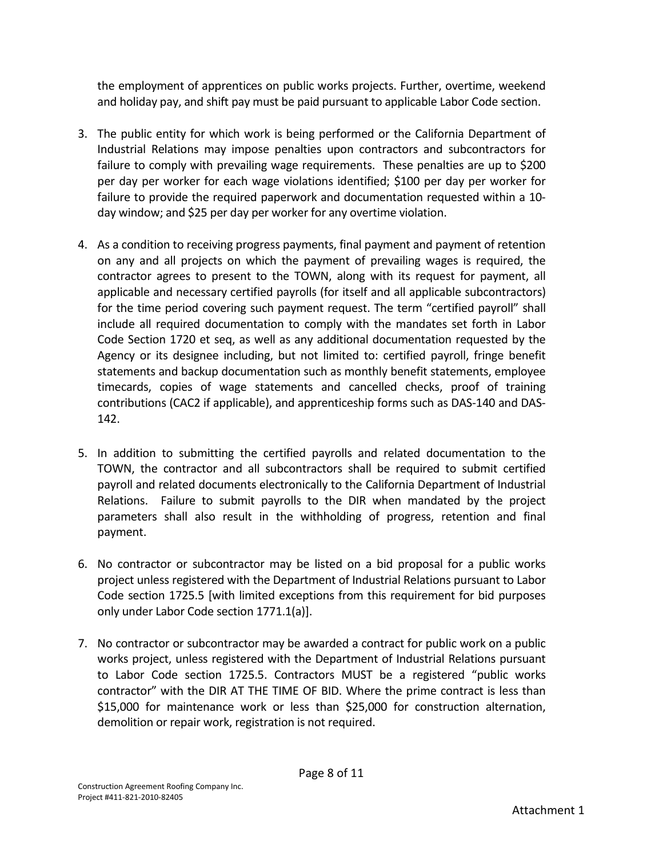the employment of apprentices on public works projects. Further, overtime, weekend and holiday pay, and shift pay must be paid pursuant to applicable Labor Code section.

- 3. The public entity for which work is being performed or the California Department of Industrial Relations may impose penalties upon contractors and subcontractors for failure to comply with prevailing wage requirements. These penalties are up to \$200 per day per worker for each wage violations identified; \$100 per day per worker for failure to provide the required paperwork and documentation requested within a 10 day window; and \$25 per day per worker for any overtime violation.
- 4. As a condition to receiving progress payments, final payment and payment of retention on any and all projects on which the payment of prevailing wages is required, the contractor agrees to present to the TOWN, along with its request for payment, all applicable and necessary certified payrolls (for itself and all applicable subcontractors) for the time period covering such payment request. The term "certified payroll" shall include all required documentation to comply with the mandates set forth in Labor Code Section 1720 et seq, as well as any additional documentation requested by the Agency or its designee including, but not limited to: certified payroll, fringe benefit statements and backup documentation such as monthly benefit statements, employee timecards, copies of wage statements and cancelled checks, proof of training contributions (CAC2 if applicable), and apprenticeship forms such as DAS-140 and DAS-142.
- 5. In addition to submitting the certified payrolls and related documentation to the TOWN, the contractor and all subcontractors shall be required to submit certified payroll and related documents electronically to the California Department of Industrial Relations. Failure to submit payrolls to the DIR when mandated by the project parameters shall also result in the withholding of progress, retention and final payment.
- 6. No contractor or subcontractor may be listed on a bid proposal for a public works project unless registered with the Department of Industrial Relations pursuant to Labor Code section 1725.5 [with limited exceptions from this requirement for bid purposes only under Labor Code section 1771.1(a)].
- 7. No contractor or subcontractor may be awarded a contract for public work on a public works project, unless registered with the Department of Industrial Relations pursuant to Labor Code section 1725.5. Contractors MUST be a registered "public works contractor" with the DIR AT THE TIME OF BID. Where the prime contract is less than \$15,000 for maintenance work or less than \$25,000 for construction alternation, demolition or repair work, registration is not required.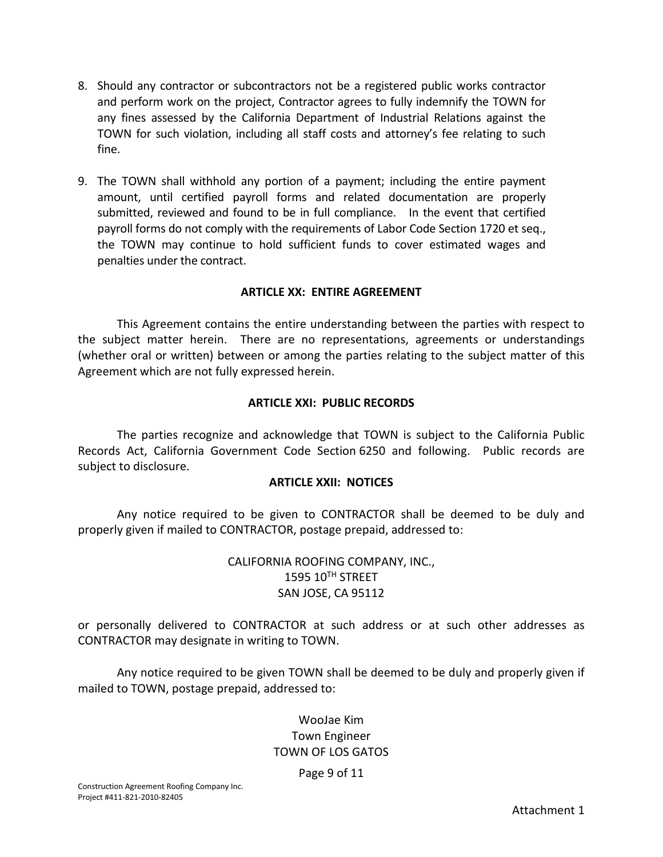- 8. Should any contractor or subcontractors not be a registered public works contractor and perform work on the project, Contractor agrees to fully indemnify the TOWN for any fines assessed by the California Department of Industrial Relations against the TOWN for such violation, including all staff costs and attorney's fee relating to such fine.
- 9. The TOWN shall withhold any portion of a payment; including the entire payment amount, until certified payroll forms and related documentation are properly submitted, reviewed and found to be in full compliance. In the event that certified payroll forms do not comply with the requirements of Labor Code Section 1720 et seq., the TOWN may continue to hold sufficient funds to cover estimated wages and penalties under the contract.

#### **ARTICLE XX: ENTIRE AGREEMENT**

This Agreement contains the entire understanding between the parties with respect to the subject matter herein. There are no representations, agreements or understandings (whether oral or written) between or among the parties relating to the subject matter of this Agreement which are not fully expressed herein.

#### **ARTICLE XXI: PUBLIC RECORDS**

The parties recognize and acknowledge that TOWN is subject to the California Public Records Act, California Government Code Section 6250 and following. Public records are subject to disclosure.

#### **ARTICLE XXII: NOTICES**

Any notice required to be given to CONTRACTOR shall be deemed to be duly and properly given if mailed to CONTRACTOR, postage prepaid, addressed to:

### CALIFORNIA ROOFING COMPANY, INC., 1595 10TH STREET SAN JOSE, CA 95112

or personally delivered to CONTRACTOR at such address or at such other addresses as CONTRACTOR may designate in writing to TOWN.

Any notice required to be given TOWN shall be deemed to be duly and properly given if mailed to TOWN, postage prepaid, addressed to:

## WooJae Kim Town Engineer TOWN OF LOS GATOS

Page 9 of 11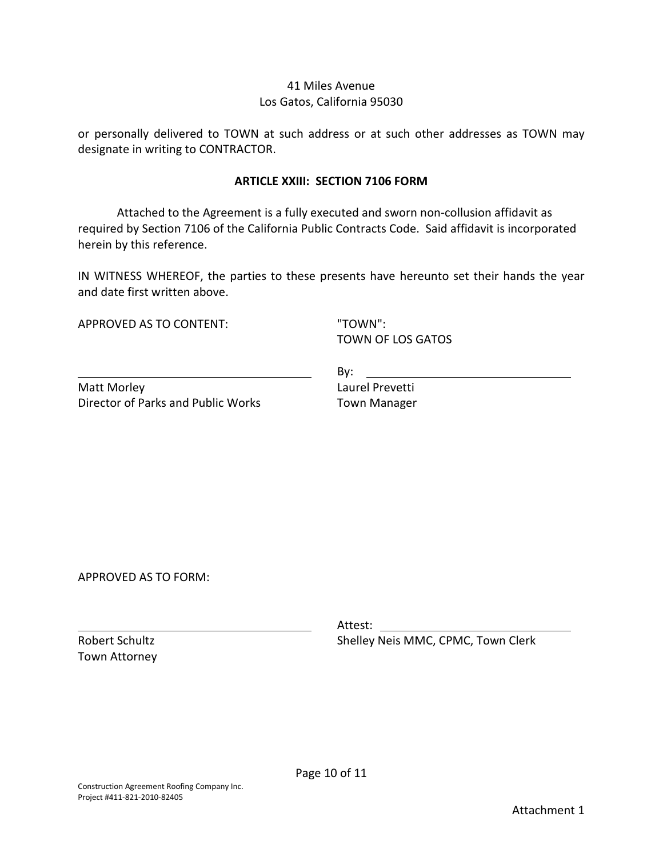### 41 Miles Avenue Los Gatos, California 95030

or personally delivered to TOWN at such address or at such other addresses as TOWN may designate in writing to CONTRACTOR.

#### **ARTICLE XXIII: SECTION 7106 FORM**

Attached to the Agreement is a fully executed and sworn non-collusion affidavit as required by Section 7106 of the California Public Contracts Code. Said affidavit is incorporated herein by this reference.

IN WITNESS WHEREOF, the parties to these presents have hereunto set their hands the year and date first written above.

APPROVED AS TO CONTENT:

"TOWN": TOWN OF LOS GATOS

Matt Morley Director of Parks and Public Works By: the contract of the contract of the contract of the contract of the contract of the contract of the contract of the contract of the contract of the contract of the contract of the contract of the contract of the contra Laurel Prevetti Town Manager

APPROVED AS TO FORM:

Robert Schultz Town Attorney

Attest:

Shelley Neis MMC, CPMC, Town Clerk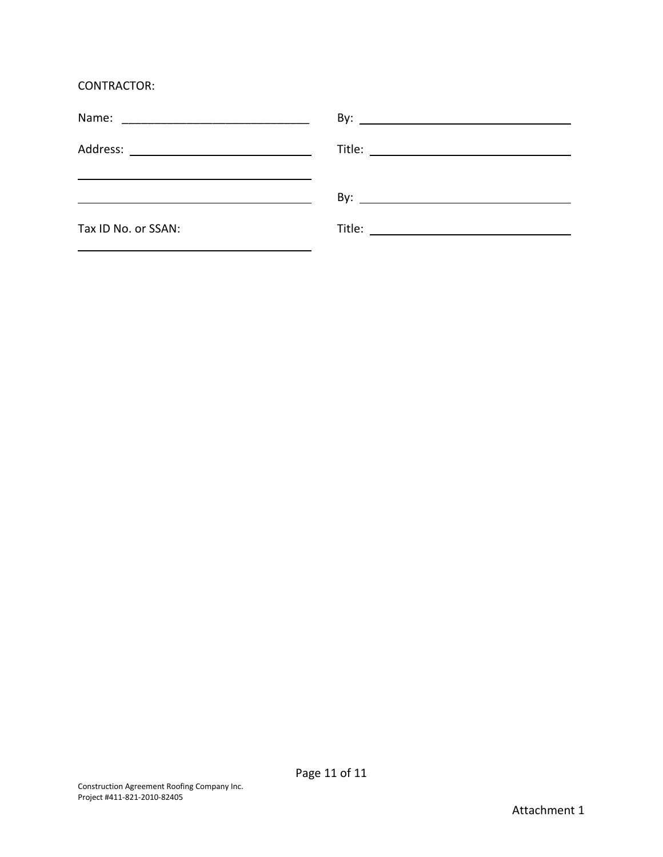CONTRACTOR:

| <u> 1989 - Johann Stein, markin fan de Frysk politiker (* 1958)</u> |  |
|---------------------------------------------------------------------|--|
| Tax ID No. or SSAN:                                                 |  |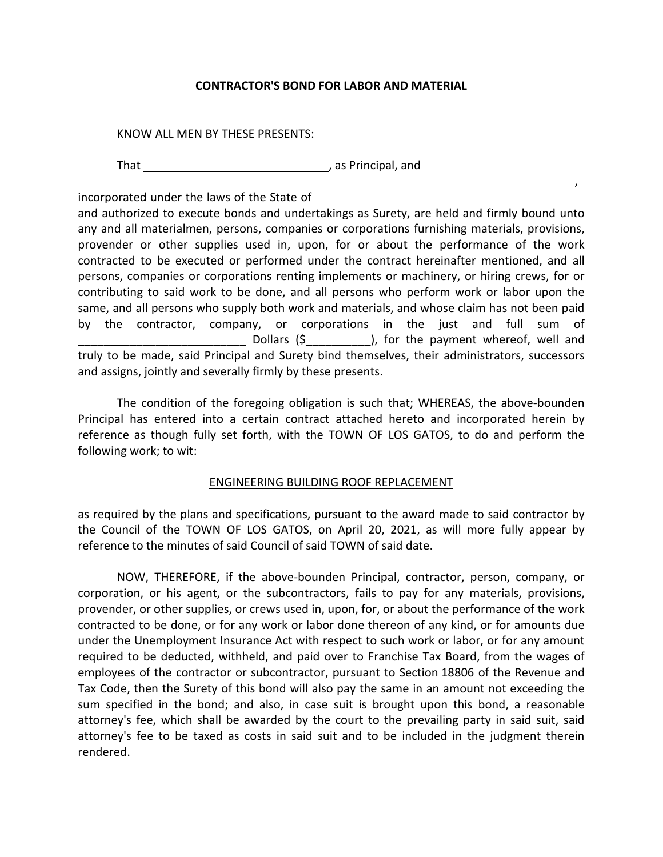#### **CONTRACTOR'S BOND FOR LABOR AND MATERIAL**

,

#### KNOW ALL MEN BY THESE PRESENTS:

That **the contract of the contract of the contract of the contract of the contract of the contract of the contract of the contract of the contract of the contract of the contract of the contract of the contract of the cont** 

incorporated under the laws of the State of

and authorized to execute bonds and undertakings as Surety, are held and firmly bound unto any and all materialmen, persons, companies or corporations furnishing materials, provisions, provender or other supplies used in, upon, for or about the performance of the work contracted to be executed or performed under the contract hereinafter mentioned, and all persons, companies or corporations renting implements or machinery, or hiring crews, for or contributing to said work to be done, and all persons who perform work or labor upon the same, and all persons who supply both work and materials, and whose claim has not been paid by the contractor, company, or corporations in the just and full sum of Dollars (\$  $\qquad$  ), for the payment whereof, well and truly to be made, said Principal and Surety bind themselves, their administrators, successors and assigns, jointly and severally firmly by these presents.

The condition of the foregoing obligation is such that; WHEREAS, the above-bounden Principal has entered into a certain contract attached hereto and incorporated herein by reference as though fully set forth, with the TOWN OF LOS GATOS, to do and perform the following work; to wit:

#### ENGINEERING BUILDING ROOF REPLACEMENT

as required by the plans and specifications, pursuant to the award made to said contractor by the Council of the TOWN OF LOS GATOS, on April 20, 2021, as will more fully appear by reference to the minutes of said Council of said TOWN of said date.

NOW, THEREFORE, if the above-bounden Principal, contractor, person, company, or corporation, or his agent, or the subcontractors, fails to pay for any materials, provisions, provender, or other supplies, or crews used in, upon, for, or about the performance of the work contracted to be done, or for any work or labor done thereon of any kind, or for amounts due under the Unemployment Insurance Act with respect to such work or labor, or for any amount required to be deducted, withheld, and paid over to Franchise Tax Board, from the wages of employees of the contractor or subcontractor, pursuant to Section 18806 of the Revenue and Tax Code, then the Surety of this bond will also pay the same in an amount not exceeding the sum specified in the bond; and also, in case suit is brought upon this bond, a reasonable attorney's fee, which shall be awarded by the court to the prevailing party in said suit, said attorney's fee to be taxed as costs in said suit and to be included in the judgment therein rendered.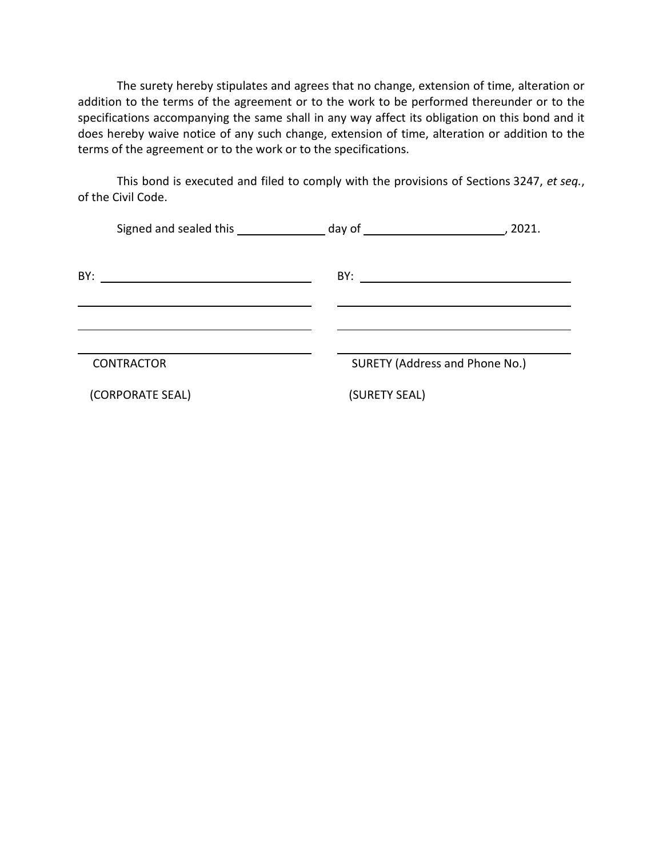The surety hereby stipulates and agrees that no change, extension of time, alteration or addition to the terms of the agreement or to the work to be performed thereunder or to the specifications accompanying the same shall in any way affect its obligation on this bond and it does hereby waive notice of any such change, extension of time, alteration or addition to the terms of the agreement or to the work or to the specifications.

This bond is executed and filed to comply with the provisions of Sections 3247, *et seq.*, of the Civil Code.

|     | Signed and sealed this _____________________ day of ____________________________                                      |                                | , 2021. |
|-----|-----------------------------------------------------------------------------------------------------------------------|--------------------------------|---------|
| BY: | <u> 1989 - Johann Harry Harry Harry Harry Harry Harry Harry Harry Harry Harry Harry Harry Harry Harry Harry Harry</u> |                                |         |
|     |                                                                                                                       |                                |         |
|     |                                                                                                                       |                                |         |
|     | <b>CONTRACTOR</b>                                                                                                     | SURETY (Address and Phone No.) |         |
|     | (CORPORATE SEAL)                                                                                                      | (SURETY SEAL)                  |         |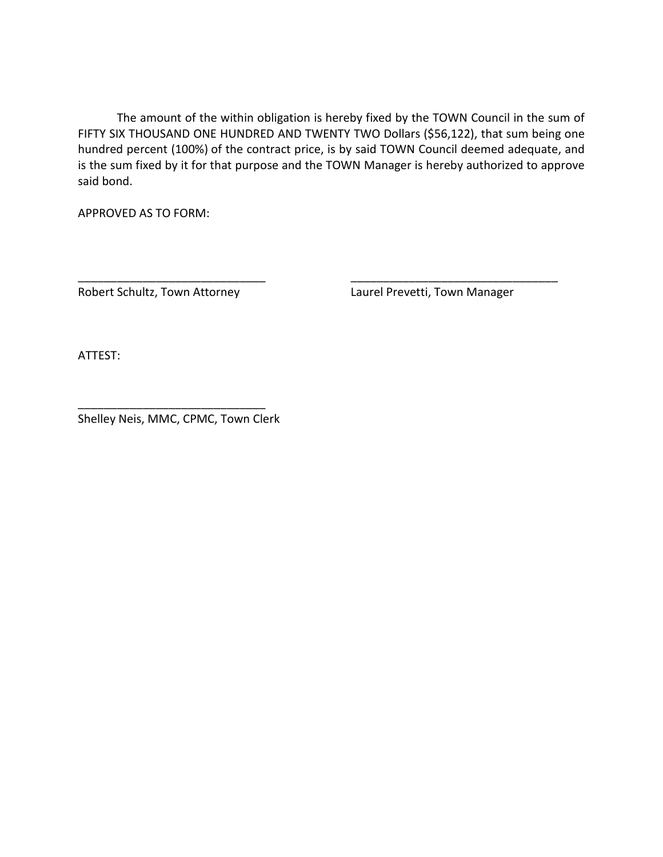The amount of the within obligation is hereby fixed by the TOWN Council in the sum of FIFTY SIX THOUSAND ONE HUNDRED AND TWENTY TWO Dollars (\$56,122), that sum being one hundred percent (100%) of the contract price, is by said TOWN Council deemed adequate, and is the sum fixed by it for that purpose and the TOWN Manager is hereby authorized to approve said bond.

\_\_\_\_\_\_\_\_\_\_\_\_\_\_\_\_\_\_\_\_\_\_\_\_\_\_\_\_\_ \_\_\_\_\_\_\_\_\_\_\_\_\_\_\_\_\_\_\_\_\_\_\_\_\_\_\_\_\_\_\_\_

APPROVED AS TO FORM:

Robert Schultz, Town Attorney Laurel Prevetti, Town Manager

ATTEST:

Shelley Neis, MMC, CPMC, Town Clerk

\_\_\_\_\_\_\_\_\_\_\_\_\_\_\_\_\_\_\_\_\_\_\_\_\_\_\_\_\_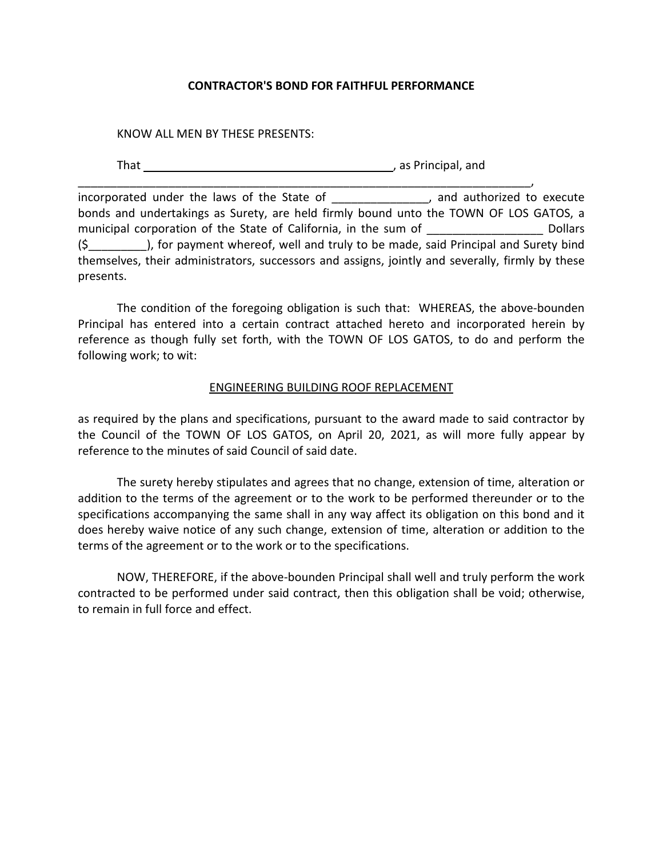#### **CONTRACTOR'S BOND FOR FAITHFUL PERFORMANCE**

KNOW ALL MEN BY THESE PRESENTS:

That  $\frac{1}{1}$  as Principal, and

\_\_\_\_\_\_\_\_\_\_\_\_\_\_\_\_\_\_\_\_\_\_\_\_\_\_\_\_\_\_\_\_\_\_\_\_\_\_\_\_\_\_\_\_\_\_\_\_\_\_\_\_\_\_\_\_\_\_\_\_\_\_\_\_\_\_\_\_\_\_, incorporated under the laws of the State of The Manuson and authorized to execute bonds and undertakings as Surety, are held firmly bound unto the TOWN OF LOS GATOS, a municipal corporation of the State of California, in the sum of Theorem Collars (\$\_\_\_\_\_\_\_\_\_), for payment whereof, well and truly to be made, said Principal and Surety bind themselves, their administrators, successors and assigns, jointly and severally, firmly by these presents.

The condition of the foregoing obligation is such that: WHEREAS, the above-bounden Principal has entered into a certain contract attached hereto and incorporated herein by reference as though fully set forth, with the TOWN OF LOS GATOS, to do and perform the following work; to wit:

#### ENGINEERING BUILDING ROOF REPLACEMENT

as required by the plans and specifications, pursuant to the award made to said contractor by the Council of the TOWN OF LOS GATOS, on April 20, 2021, as will more fully appear by reference to the minutes of said Council of said date.

The surety hereby stipulates and agrees that no change, extension of time, alteration or addition to the terms of the agreement or to the work to be performed thereunder or to the specifications accompanying the same shall in any way affect its obligation on this bond and it does hereby waive notice of any such change, extension of time, alteration or addition to the terms of the agreement or to the work or to the specifications.

NOW, THEREFORE, if the above-bounden Principal shall well and truly perform the work contracted to be performed under said contract, then this obligation shall be void; otherwise, to remain in full force and effect.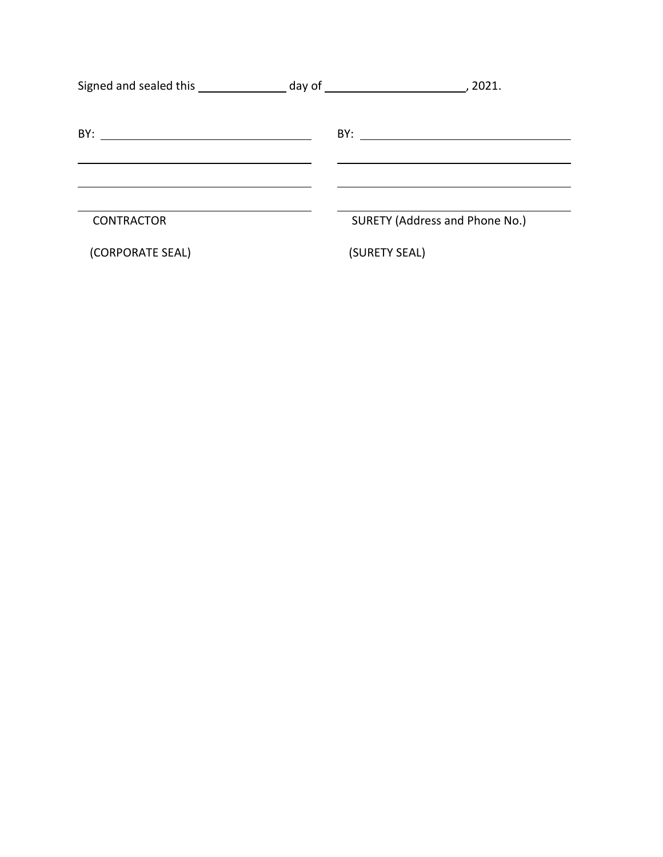| Signed and sealed this because the day of the control of the sealed this control of the day of the sealed the s |               |                                |
|-----------------------------------------------------------------------------------------------------------------|---------------|--------------------------------|
| BY:<br><u> 2000 - Andrea Andrew Maria (h. 1878).</u>                                                            |               |                                |
| <b>CONTRACTOR</b>                                                                                               |               | SURETY (Address and Phone No.) |
| (CORPORATE SEAL)                                                                                                | (SURETY SEAL) |                                |